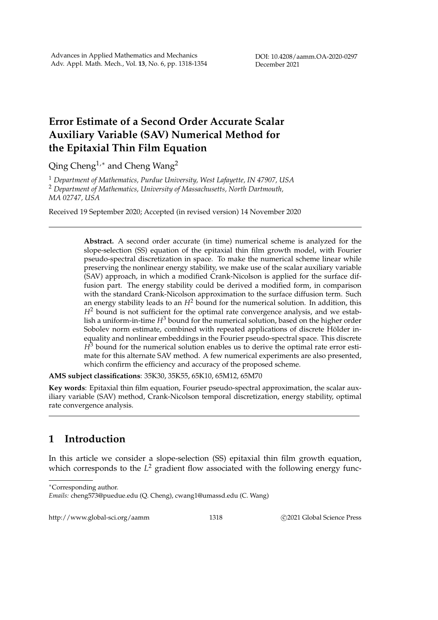DOI: 10.4208/aamm.OA-2020-0297 December 2021

## **Error Estimate of a Second Order Accurate Scalar Auxiliary Variable (SAV) Numerical Method for the Epitaxial Thin Film Equation**

Qing Cheng<sup>1,∗</sup> and Cheng Wang<sup>2</sup>

<sup>1</sup> *Department of Mathematics, Purdue University, West Lafayette, IN 47907, USA* <sup>2</sup> *Department of Mathematics, University of Massachusetts, North Dartmouth, MA 02747, USA*

Received 19 September 2020; Accepted (in revised version) 14 November 2020

**Abstract.** A second order accurate (in time) numerical scheme is analyzed for the slope-selection (SS) equation of the epitaxial thin film growth model, with Fourier pseudo-spectral discretization in space. To make the numerical scheme linear while preserving the nonlinear energy stability, we make use of the scalar auxiliary variable (SAV) approach, in which a modified Crank-Nicolson is applied for the surface diffusion part. The energy stability could be derived a modified form, in comparison with the standard Crank-Nicolson approximation to the surface diffusion term. Such an energy stability leads to an  $H^2$  bound for the numerical solution. In addition, this *H*<sup>2</sup> bound is not sufficient for the optimal rate convergence analysis, and we establish a uniform-in-time *H*<sup>3</sup> bound for the numerical solution, based on the higher order Sobolev norm estimate, combined with repeated applications of discrete Hölder inequality and nonlinear embeddings in the Fourier pseudo-spectral space. This discrete  $H<sup>3</sup>$  bound for the numerical solution enables us to derive the optimal rate error estimate for this alternate SAV method. A few numerical experiments are also presented, which confirm the efficiency and accuracy of the proposed scheme.

**AMS subject classifications**: 35K30, 35K55, 65K10, 65M12, 65M70

**Key words**: Epitaxial thin film equation, Fourier pseudo-spectral approximation, the scalar auxiliary variable (SAV) method, Crank-Nicolson temporal discretization, energy stability, optimal rate convergence analysis.

## **1 Introduction**

In this article we consider a slope-selection (SS) epitaxial thin film growth equation, which corresponds to the L<sup>2</sup> gradient flow associated with the following energy func-

http://www.global-sci.org/aamm 1318 C 2021 Global Science Press

<sup>∗</sup>Corresponding author.

*Emails:* cheng573@puedue.edu (Q. Cheng), cwang1@umassd.edu (C. Wang)